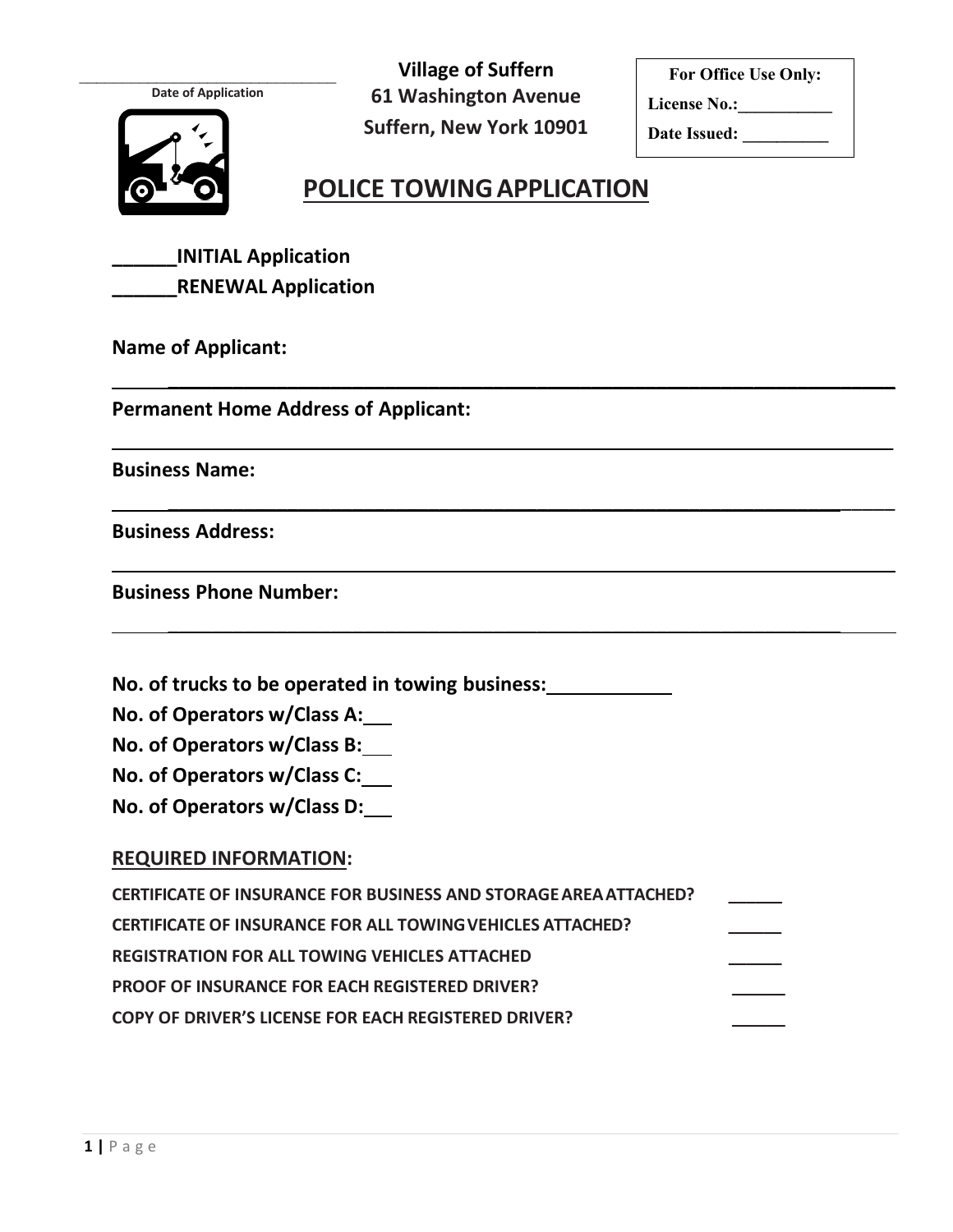**Date of Application**

**61 Washington Avenue Suffern, New York 10901**  $\mathcal{L}_\text{max}$ 

**For Office Use Only:**

**License No.:\_\_\_\_\_\_\_\_\_\_\_**

**Date Issued: \_\_\_\_\_\_\_\_\_\_**

### **POLICE TOWINGAPPLICATION**

 $\overline{\phantom{a}}$  , and the contract of the contract of the contract of the contract of the contract of the contract of the contract of the contract of the contract of the contract of the contract of the contract of the contrac

\_\_\_\_\_\_\_\_\_\_\_\_\_\_\_\_\_\_\_\_\_\_\_\_\_\_\_\_\_\_\_\_\_\_\_\_\_\_\_\_\_\_\_\_\_\_\_\_\_\_\_\_\_\_\_\_\_\_\_\_\_\_\_\_\_\_\_

 $\overline{\phantom{a}}$  , and the contract of the contract of the contract of the contract of the contract of the contract of the contract of the contract of the contract of the contract of the contract of the contract of the contrac

\_\_\_\_\_\_\_\_\_\_\_\_\_\_\_\_\_\_\_\_\_\_\_\_\_\_\_\_\_\_\_\_\_\_\_\_\_\_\_\_\_\_\_\_\_\_\_\_\_\_\_\_\_\_\_\_\_\_\_\_\_\_\_\_\_\_\_\_\_\_\_\_

 $\overline{\phantom{a}}$  , and the contract of the contract of the contract of the contract of the contract of the contract of the contract of the contract of the contract of the contract of the contract of the contract of the contrac

**Village of Suffern**

**\_\_\_\_\_\_INITIAL Application \_\_\_\_\_\_RENEWAL Application**

**Name of Applicant:**

**Permanent Home Address of Applicant:**

**Business Name:**

**Business Address:**

**Business Phone Number:**

**No. of trucks to be operated in towing business:**

**No. of Operators w/Class A:** 

**No. of Operators w/Class B:** 

**No. of Operators w/Class C:** 

**No. of Operators w/Class D:**

#### **REQUIRED INFORMATION:**

| <b>CERTIFICATE OF INSURANCE FOR BUSINESS AND STORAGE AREA ATTACHED?</b> |  |
|-------------------------------------------------------------------------|--|
| <b>CERTIFICATE OF INSURANCE FOR ALL TOWING VEHICLES ATTACHED?</b>       |  |
| <b>REGISTRATION FOR ALL TOWING VEHICLES ATTACHED</b>                    |  |
| <b>PROOF OF INSURANCE FOR EACH REGISTERED DRIVER?</b>                   |  |
| COPY OF DRIVER'S LICENSE FOR EACH REGISTERED DRIVER?                    |  |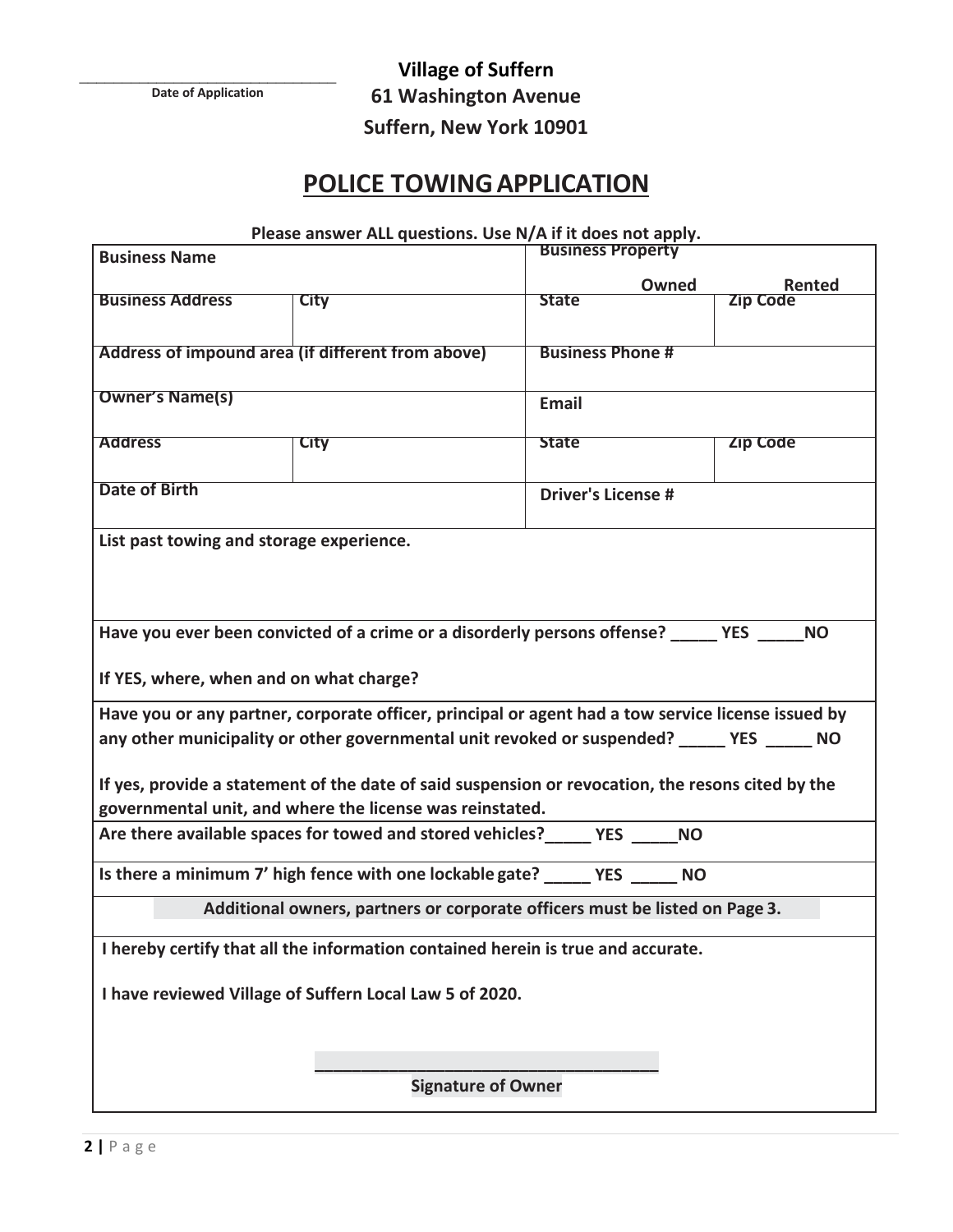$\mathcal{L}_\text{max}$ **Date of Application**

**Village of Suffern 61 Washington Avenue Suffern, New York 10901**

# **POLICE TOWINGAPPLICATION**

| Please answer ALL questions. Use N/A if it does not apply. |  |  |
|------------------------------------------------------------|--|--|
|------------------------------------------------------------|--|--|

| <b>Business Name</b>                                                                              |                                                                                                    | <b>Business Property</b>  |                           |  |  |
|---------------------------------------------------------------------------------------------------|----------------------------------------------------------------------------------------------------|---------------------------|---------------------------|--|--|
|                                                                                                   |                                                                                                    |                           |                           |  |  |
| <b>Business Address</b>                                                                           | City                                                                                               | Owned<br><b>State</b>     | Rented<br><b>Zip Code</b> |  |  |
|                                                                                                   |                                                                                                    |                           |                           |  |  |
|                                                                                                   |                                                                                                    |                           |                           |  |  |
|                                                                                                   | Address of impound area (if different from above)                                                  | <b>Business Phone #</b>   |                           |  |  |
|                                                                                                   |                                                                                                    |                           |                           |  |  |
| <b>Owner's Name(s)</b>                                                                            |                                                                                                    | <b>Email</b>              |                           |  |  |
|                                                                                                   |                                                                                                    |                           |                           |  |  |
| <b>Address</b>                                                                                    | <b>City</b>                                                                                        | <b>State</b>              | <b>Zip Code</b>           |  |  |
|                                                                                                   |                                                                                                    |                           |                           |  |  |
|                                                                                                   |                                                                                                    |                           |                           |  |  |
| <b>Date of Birth</b>                                                                              |                                                                                                    | <b>Driver's License #</b> |                           |  |  |
|                                                                                                   |                                                                                                    |                           |                           |  |  |
| List past towing and storage experience.                                                          |                                                                                                    |                           |                           |  |  |
|                                                                                                   |                                                                                                    |                           |                           |  |  |
|                                                                                                   |                                                                                                    |                           |                           |  |  |
|                                                                                                   |                                                                                                    |                           |                           |  |  |
|                                                                                                   |                                                                                                    |                           |                           |  |  |
|                                                                                                   | Have you ever been convicted of a crime or a disorderly persons offense? YES NO                    |                           |                           |  |  |
|                                                                                                   |                                                                                                    |                           |                           |  |  |
| If YES, where, when and on what charge?                                                           |                                                                                                    |                           |                           |  |  |
|                                                                                                   |                                                                                                    |                           |                           |  |  |
|                                                                                                   | Have you or any partner, corporate officer, principal or agent had a tow service license issued by |                           |                           |  |  |
|                                                                                                   | any other municipality or other governmental unit revoked or suspended? _____ YES _____ NO         |                           |                           |  |  |
|                                                                                                   |                                                                                                    |                           |                           |  |  |
| If yes, provide a statement of the date of said suspension or revocation, the resons cited by the |                                                                                                    |                           |                           |  |  |
|                                                                                                   |                                                                                                    |                           |                           |  |  |
| governmental unit, and where the license was reinstated.                                          |                                                                                                    |                           |                           |  |  |
|                                                                                                   | Are there available spaces for towed and stored vehicles? The State MO                             |                           |                           |  |  |
|                                                                                                   |                                                                                                    |                           |                           |  |  |
|                                                                                                   | Is there a minimum 7' high fence with one lockable gate? YES NO                                    |                           |                           |  |  |
|                                                                                                   |                                                                                                    |                           |                           |  |  |
| Additional owners, partners or corporate officers must be listed on Page 3.                       |                                                                                                    |                           |                           |  |  |
|                                                                                                   |                                                                                                    |                           |                           |  |  |
| I hereby certify that all the information contained herein is true and accurate.                  |                                                                                                    |                           |                           |  |  |
|                                                                                                   |                                                                                                    |                           |                           |  |  |
| I have reviewed Village of Suffern Local Law 5 of 2020.                                           |                                                                                                    |                           |                           |  |  |
|                                                                                                   |                                                                                                    |                           |                           |  |  |
|                                                                                                   |                                                                                                    |                           |                           |  |  |
|                                                                                                   |                                                                                                    |                           |                           |  |  |
|                                                                                                   | <b>Signature of Owner</b>                                                                          |                           |                           |  |  |
|                                                                                                   |                                                                                                    |                           |                           |  |  |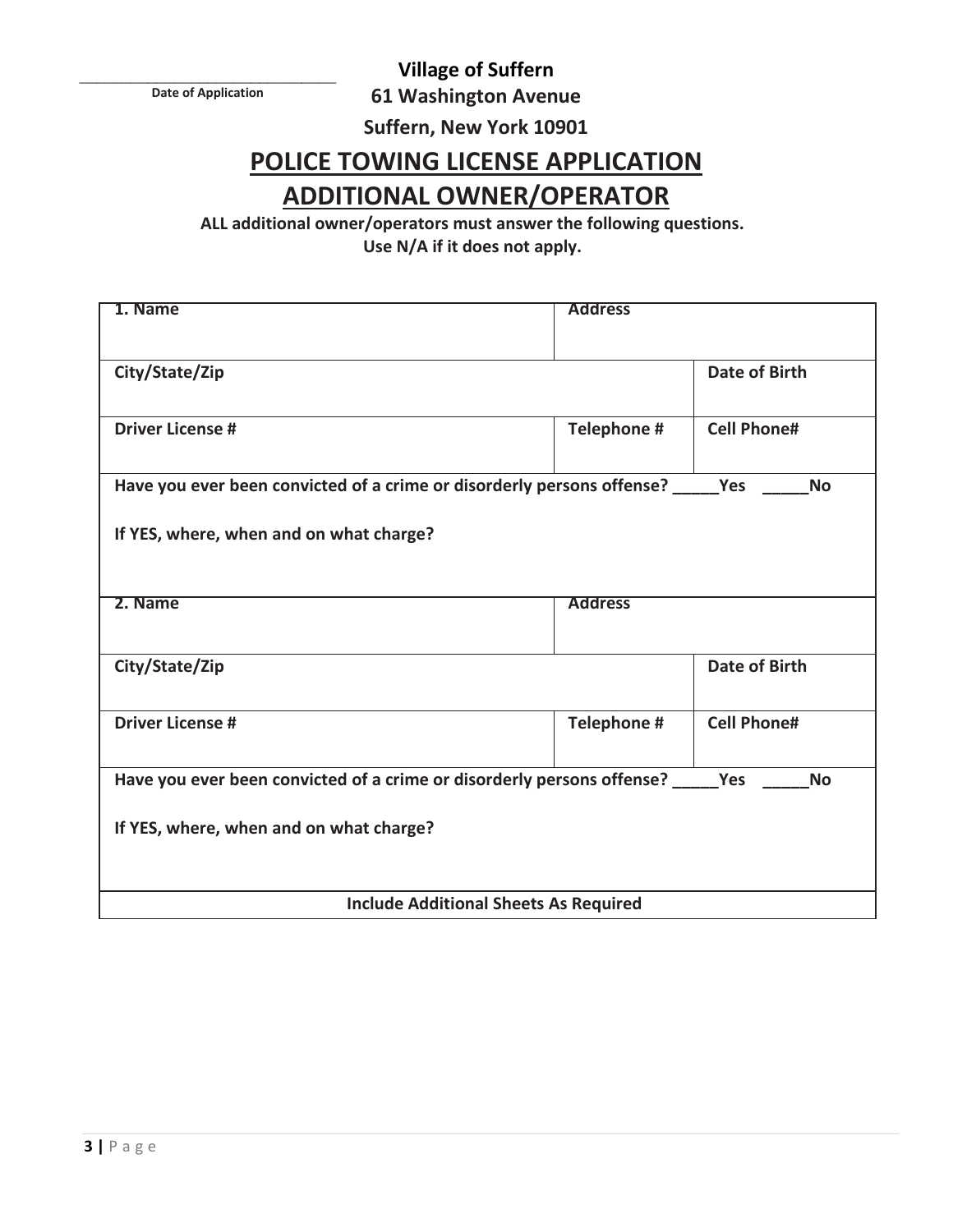**Village of Suffern**

 $\mathcal{L}_\text{max}$ **Date of Application**

**61 Washington Avenue** 

**Suffern, New York 10901**

## **POLICE TOWING LICENSE APPLICATION ADDITIONAL OWNER/OPERATOR**

**ALL additional owner/operators must answer the following questions. Use N/A if it does not apply.**

| 1. Name                                                                                        | <b>Address</b> |                      |  |  |
|------------------------------------------------------------------------------------------------|----------------|----------------------|--|--|
| City/State/Zip                                                                                 |                | <b>Date of Birth</b> |  |  |
| <b>Driver License #</b>                                                                        | Telephone #    | <b>Cell Phone#</b>   |  |  |
| Have you ever been convicted of a crime or disorderly persons offense? ______ Yes              |                | <b>No</b>            |  |  |
| If YES, where, when and on what charge?                                                        |                |                      |  |  |
| 2. Name                                                                                        | <b>Address</b> |                      |  |  |
| City/State/Zip                                                                                 |                | <b>Date of Birth</b> |  |  |
| <b>Driver License #</b>                                                                        | Telephone #    | <b>Cell Phone#</b>   |  |  |
| Have you ever been convicted of a crime or disorderly persons offense? ___<br>Yes<br><b>No</b> |                |                      |  |  |
| If YES, where, when and on what charge?                                                        |                |                      |  |  |
| <b>Include Additional Sheets As Required</b>                                                   |                |                      |  |  |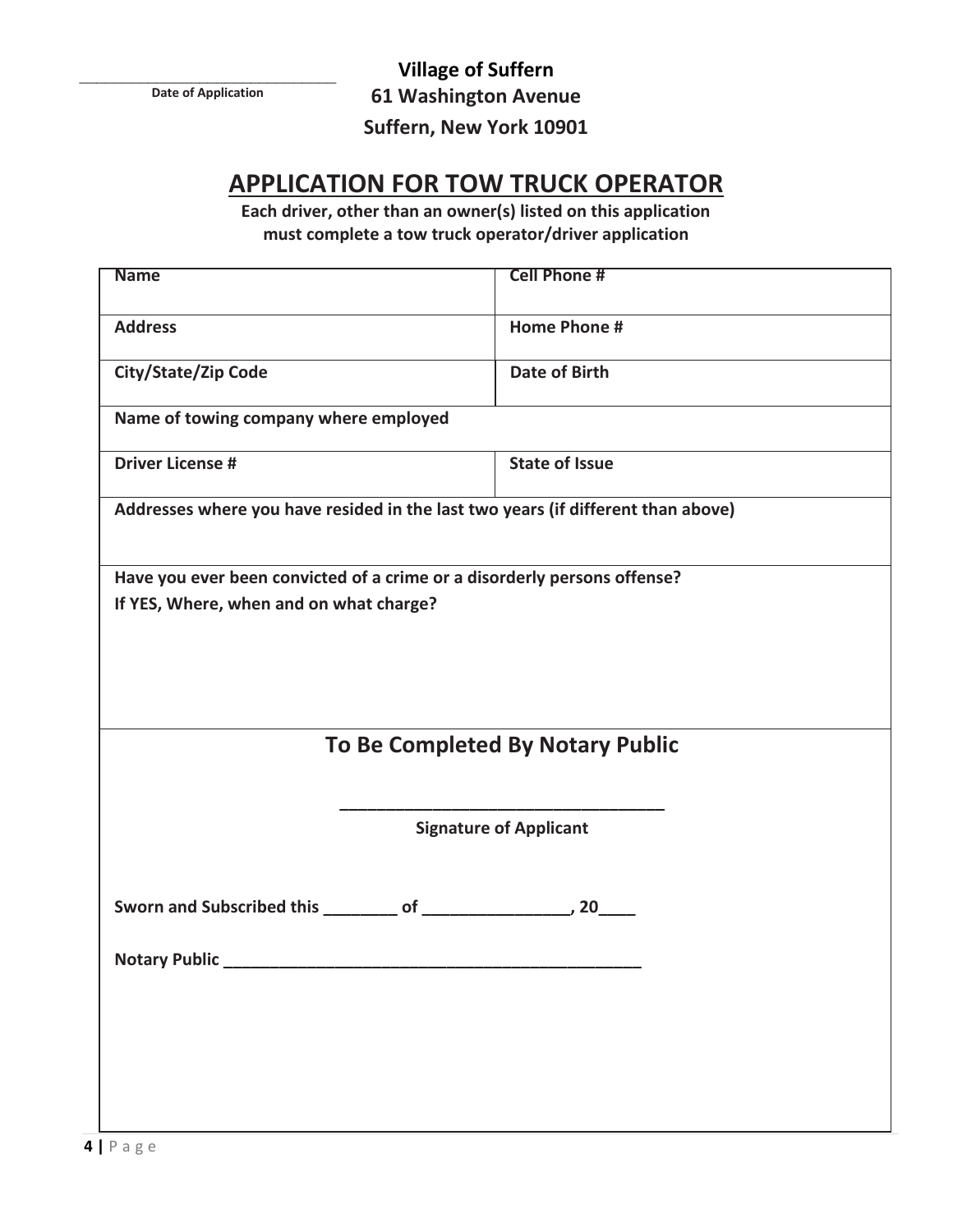$\mathcal{L}_\text{max}$ **Date of Application**

**Village of Suffern 61 Washington Avenue** 

**Suffern, New York 10901**

### **APPLICATION FOR TOW TRUCK OPERATOR**

**Each driver, other than an owner(s) listed on this application must complete a tow truck operator/driver application**

| <b>Name</b>                              | <b>Cell Phone #</b>                                                              |  |  |  |
|------------------------------------------|----------------------------------------------------------------------------------|--|--|--|
| <b>Address</b>                           | <b>Home Phone #</b>                                                              |  |  |  |
| City/State/Zip Code                      | <b>Date of Birth</b>                                                             |  |  |  |
| Name of towing company where employed    |                                                                                  |  |  |  |
| <b>Driver License #</b>                  | <b>State of Issue</b>                                                            |  |  |  |
|                                          | Addresses where you have resided in the last two years (if different than above) |  |  |  |
|                                          | Have you ever been convicted of a crime or a disorderly persons offense?         |  |  |  |
| If YES, Where, when and on what charge?  |                                                                                  |  |  |  |
|                                          |                                                                                  |  |  |  |
|                                          |                                                                                  |  |  |  |
|                                          |                                                                                  |  |  |  |
|                                          | To Be Completed By Notary Public                                                 |  |  |  |
|                                          |                                                                                  |  |  |  |
| <b>Signature of Applicant</b>            |                                                                                  |  |  |  |
|                                          |                                                                                  |  |  |  |
| Sworn and Subscribed this ________ of __ | 20                                                                               |  |  |  |
| <b>Notary Public</b>                     |                                                                                  |  |  |  |
|                                          |                                                                                  |  |  |  |
|                                          |                                                                                  |  |  |  |
|                                          |                                                                                  |  |  |  |
|                                          |                                                                                  |  |  |  |
|                                          |                                                                                  |  |  |  |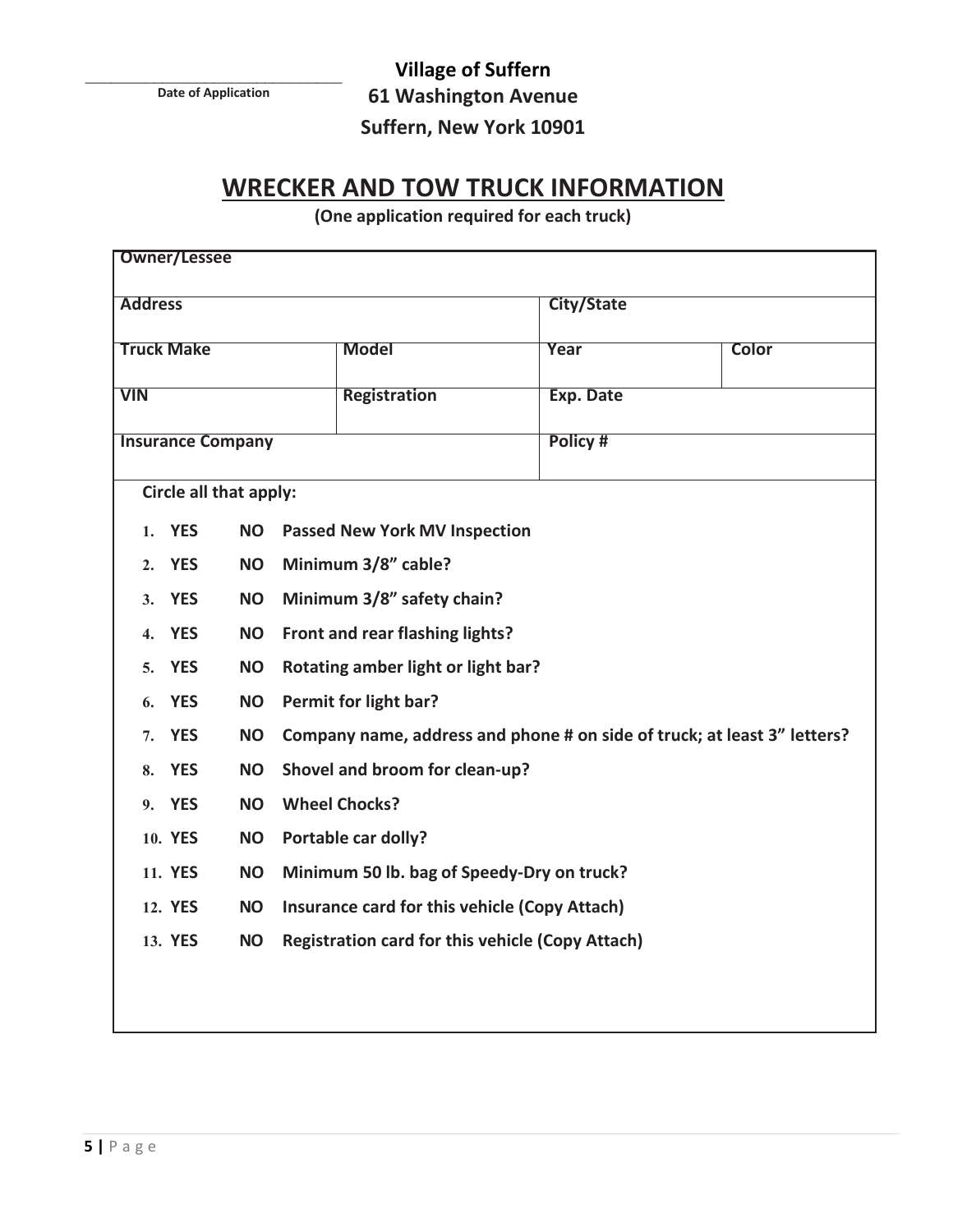$\mathcal{L}_\text{max}$ **Date of Application**

**Village of Suffern**

**61 Washington Avenue** 

#### **Suffern, New York 10901**

#### **WRECKER AND TOW TRUCK INFORMATION**

**(One application required for each truck)**

| <b>Owner/Lessee</b>                                                                                       |                                      |               |  |  |
|-----------------------------------------------------------------------------------------------------------|--------------------------------------|---------------|--|--|
| <b>Address</b>                                                                                            |                                      | City/State    |  |  |
| <b>Truck Make</b>                                                                                         | <b>Model</b>                         | Year<br>Color |  |  |
| <b>VIN</b>                                                                                                | <b>Registration</b>                  | Exp. Date     |  |  |
| <b>Insurance Company</b>                                                                                  |                                      | Policy #      |  |  |
| Circle all that apply:                                                                                    |                                      |               |  |  |
| <b>YES</b><br><b>NO</b><br>1.                                                                             | <b>Passed New York MV Inspection</b> |               |  |  |
| <b>YES</b><br><b>NO</b><br>2.                                                                             | Minimum 3/8" cable?                  |               |  |  |
| <b>YES</b><br><b>NO</b><br>3.                                                                             | Minimum 3/8" safety chain?           |               |  |  |
| <b>YES</b><br><b>NO</b><br>$\overline{4}$ .                                                               | Front and rear flashing lights?      |               |  |  |
| <b>YES</b><br><b>NO</b><br>5.                                                                             | Rotating amber light or light bar?   |               |  |  |
| <b>YES</b><br>Permit for light bar?<br><b>NO</b><br>6.                                                    |                                      |               |  |  |
| Company name, address and phone # on side of truck; at least 3" letters?<br><b>YES</b><br><b>NO</b><br>7. |                                      |               |  |  |
| <b>YES</b><br><b>NO</b><br>8.                                                                             | Shovel and broom for clean-up?       |               |  |  |
| <b>Wheel Chocks?</b><br>9. YES<br><b>NO</b>                                                               |                                      |               |  |  |
| 10. YES<br><b>NO</b>                                                                                      | Portable car dolly?                  |               |  |  |
| 11. YES<br>Minimum 50 lb. bag of Speedy-Dry on truck?<br><b>NO</b>                                        |                                      |               |  |  |
| 12. YES<br>Insurance card for this vehicle (Copy Attach)<br><b>NO</b>                                     |                                      |               |  |  |
| 13. YES<br><b>Registration card for this vehicle (Copy Attach)</b><br><b>NO</b>                           |                                      |               |  |  |
|                                                                                                           |                                      |               |  |  |
|                                                                                                           |                                      |               |  |  |